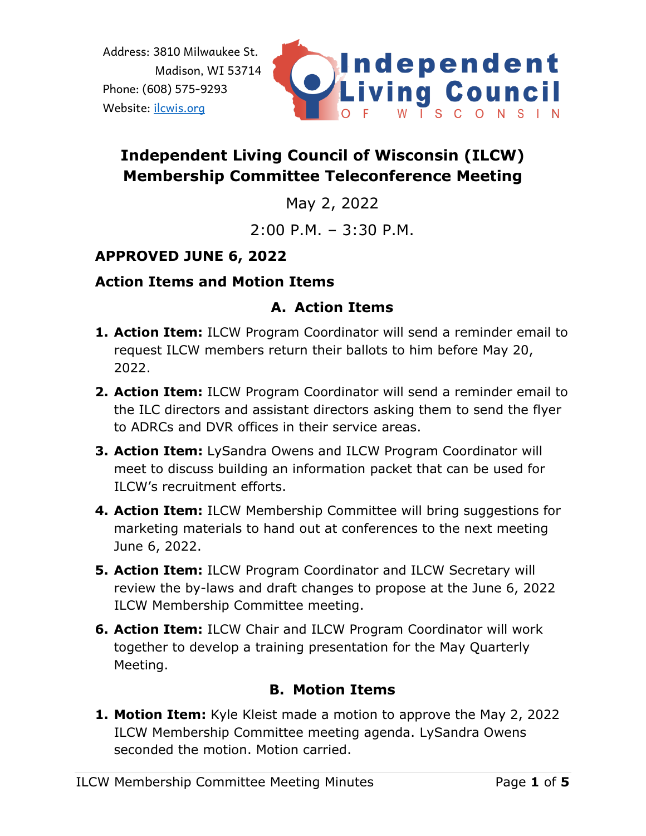

# **Independent Living Council of Wisconsin (ILCW) Membership Committee Teleconference Meeting**

May 2, 2022

 $2:00 \text{ P.M.} - 3:30 \text{ P.M.}$ 

# **APPROVED JUNE 6, 2022**

# **Action Items and Motion Items**

# **A. Action Items**

- **1. Action Item:** ILCW Program Coordinator will send a reminder email to request ILCW members return their ballots to him before May 20, 2022.
- **2. Action Item:** ILCW Program Coordinator will send a reminder email to the ILC directors and assistant directors asking them to send the flyer to ADRCs and DVR offices in their service areas.
- **3. Action Item:** LySandra Owens and ILCW Program Coordinator will meet to discuss building an information packet that can be used for ILCW's recruitment efforts.
- **4. Action Item:** ILCW Membership Committee will bring suggestions for marketing materials to hand out at conferences to the next meeting June 6, 2022.
- **5. Action Item:** ILCW Program Coordinator and ILCW Secretary will review the by-laws and draft changes to propose at the June 6, 2022 ILCW Membership Committee meeting.
- **6. Action Item:** ILCW Chair and ILCW Program Coordinator will work together to develop a training presentation for the May Quarterly Meeting.

# **B. Motion Items**

**1. Motion Item:** Kyle Kleist made a motion to approve the May 2, 2022 ILCW Membership Committee meeting agenda. LySandra Owens seconded the motion. Motion carried.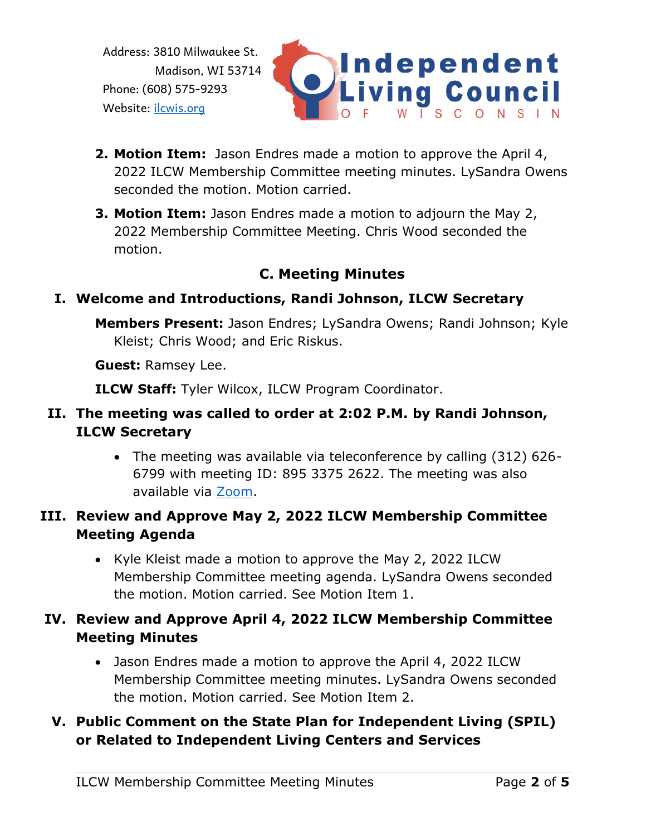

- **2. Motion Item:** Jason Endres made a motion to approve the April 4, 2022 ILCW Membership Committee meeting minutes. LySandra Owens seconded the motion. Motion carried.
- **3. Motion Item:** Jason Endres made a motion to adjourn the May 2, 2022 Membership Committee Meeting. Chris Wood seconded the motion.

# **C. Meeting Minutes**

# **I. Welcome and Introductions, Randi Johnson, ILCW Secretary**

**Members Present:** Jason Endres; LySandra Owens; Randi Johnson; Kyle Kleist; Chris Wood; and Eric Riskus.

**Guest:** Ramsey Lee.

**ILCW Staff:** Tyler Wilcox, ILCW Program Coordinator.

# **II. The meeting was called to order at 2:02 P.M. by Randi Johnson, ILCW Secretary**

• The meeting was available via teleconference by calling (312) 626- 6799 with meeting ID: 895 3375 2622. The meeting was also available via [Zoom.](https://us02web.zoom.us/j/89533752622)

### **III. Review and Approve May 2, 2022 ILCW Membership Committee Meeting Agenda**

• Kyle Kleist made a motion to approve the May 2, 2022 ILCW Membership Committee meeting agenda. LySandra Owens seconded the motion. Motion carried. See Motion Item 1.

### **IV. Review and Approve April 4, 2022 ILCW Membership Committee Meeting Minutes**

• Jason Endres made a motion to approve the April 4, 2022 ILCW Membership Committee meeting minutes. LySandra Owens seconded the motion. Motion carried. See Motion Item 2.

# **V. Public Comment on the State Plan for Independent Living (SPIL) or Related to Independent Living Centers and Services**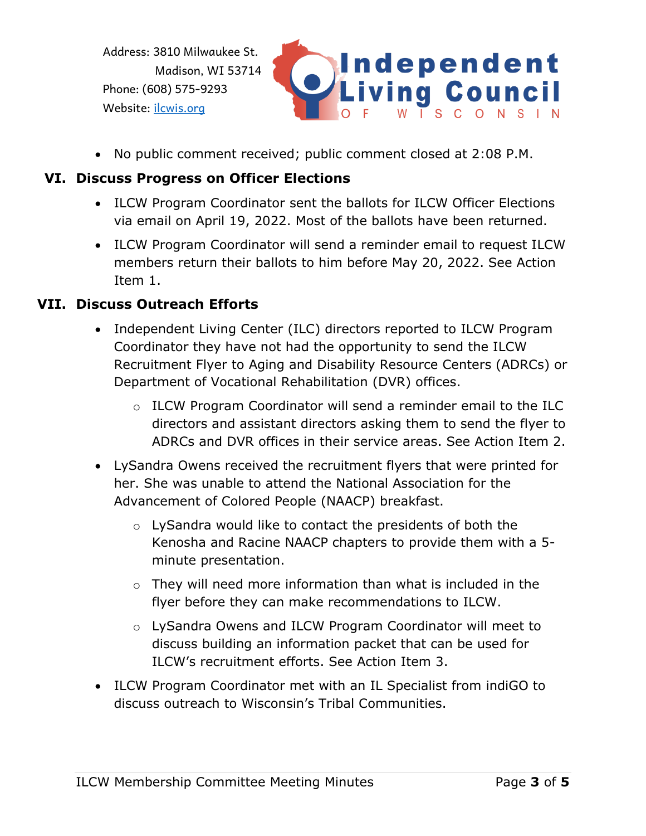

• No public comment received; public comment closed at 2:08 P.M.

### **VI. Discuss Progress on Officer Elections**

- ILCW Program Coordinator sent the ballots for ILCW Officer Elections via email on April 19, 2022. Most of the ballots have been returned.
- ILCW Program Coordinator will send a reminder email to request ILCW members return their ballots to him before May 20, 2022. See Action Item 1.

#### **VII. Discuss Outreach Efforts**

- Independent Living Center (ILC) directors reported to ILCW Program Coordinator they have not had the opportunity to send the ILCW Recruitment Flyer to Aging and Disability Resource Centers (ADRCs) or Department of Vocational Rehabilitation (DVR) offices.
	- o ILCW Program Coordinator will send a reminder email to the ILC directors and assistant directors asking them to send the flyer to ADRCs and DVR offices in their service areas. See Action Item 2.
- LySandra Owens received the recruitment flyers that were printed for her. She was unable to attend the National Association for the Advancement of Colored People (NAACP) breakfast.
	- o LySandra would like to contact the presidents of both the Kenosha and Racine NAACP chapters to provide them with a 5 minute presentation.
	- $\circ$  They will need more information than what is included in the flyer before they can make recommendations to ILCW.
	- o LySandra Owens and ILCW Program Coordinator will meet to discuss building an information packet that can be used for ILCW's recruitment efforts. See Action Item 3.
- ILCW Program Coordinator met with an IL Specialist from indiGO to discuss outreach to Wisconsin's Tribal Communities.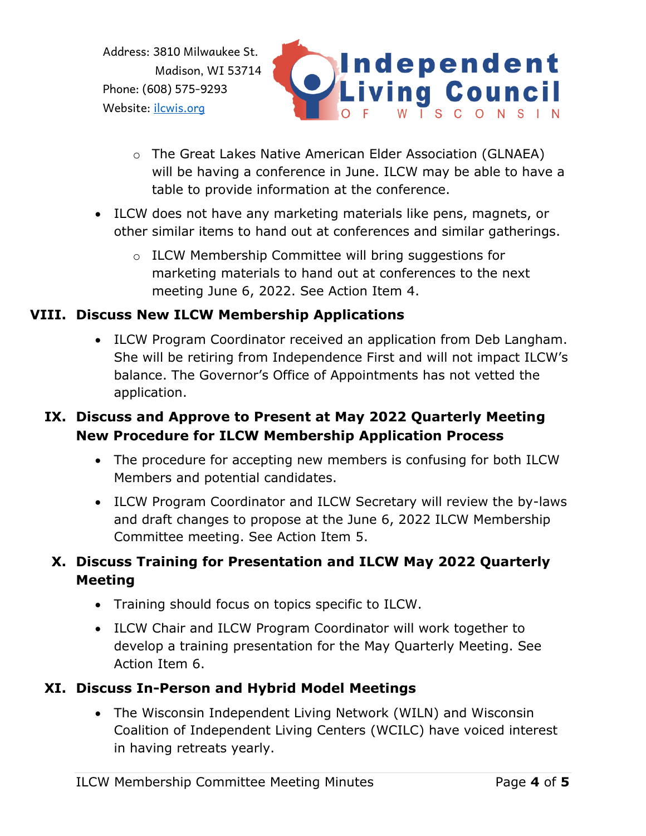

- o The Great Lakes Native American Elder Association (GLNAEA) will be having a conference in June. ILCW may be able to have a table to provide information at the conference.
- ILCW does not have any marketing materials like pens, magnets, or other similar items to hand out at conferences and similar gatherings.
	- o ILCW Membership Committee will bring suggestions for marketing materials to hand out at conferences to the next meeting June 6, 2022. See Action Item 4.

### **VIII. Discuss New ILCW Membership Applications**

• ILCW Program Coordinator received an application from Deb Langham. She will be retiring from Independence First and will not impact ILCW's balance. The Governor's Office of Appointments has not vetted the application.

### **IX. Discuss and Approve to Present at May 2022 Quarterly Meeting New Procedure for ILCW Membership Application Process**

- The procedure for accepting new members is confusing for both ILCW Members and potential candidates.
- ILCW Program Coordinator and ILCW Secretary will review the by-laws and draft changes to propose at the June 6, 2022 ILCW Membership Committee meeting. See Action Item 5.

# **X. Discuss Training for Presentation and ILCW May 2022 Quarterly Meeting**

- Training should focus on topics specific to ILCW.
- ILCW Chair and ILCW Program Coordinator will work together to develop a training presentation for the May Quarterly Meeting. See Action Item 6.

#### **XI. Discuss In-Person and Hybrid Model Meetings**

• The Wisconsin Independent Living Network (WILN) and Wisconsin Coalition of Independent Living Centers (WCILC) have voiced interest in having retreats yearly.